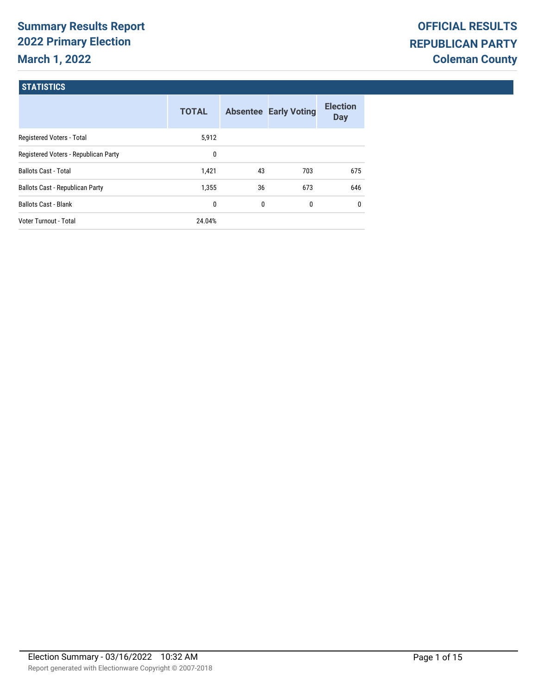# **Summary Results Report 2022 Primary Election March 1, 2022**

#### **STATISTICS**

|                                        | <b>TOTAL</b> |    | <b>Absentee Early Voting</b> | <b>Election</b><br><b>Day</b> |
|----------------------------------------|--------------|----|------------------------------|-------------------------------|
| Registered Voters - Total              | 5,912        |    |                              |                               |
| Registered Voters - Republican Party   | 0            |    |                              |                               |
| <b>Ballots Cast - Total</b>            | 1,421        | 43 | 703                          | 675                           |
| <b>Ballots Cast - Republican Party</b> | 1.355        | 36 | 673                          | 646                           |
| <b>Ballots Cast - Blank</b>            | 0            | 0  | 0                            | 0                             |
| Voter Turnout - Total                  | 24.04%       |    |                              |                               |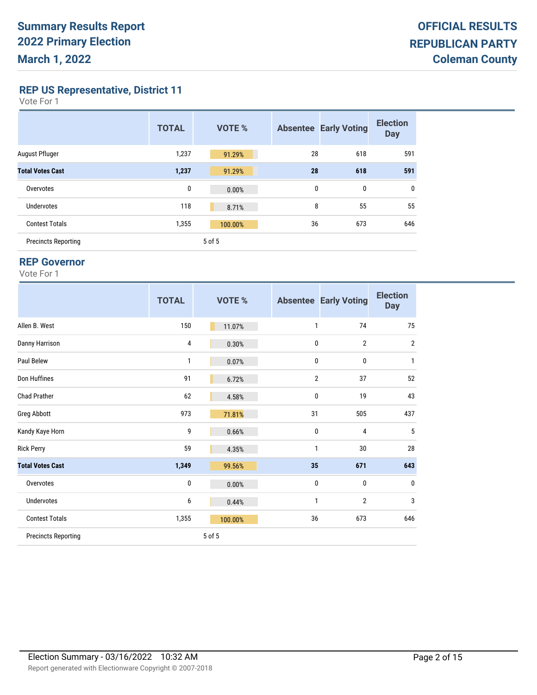**REP US Representative, District 11**

| Vote For |  |  |
|----------|--|--|
|----------|--|--|

|                            | <b>TOTAL</b> | <b>VOTE %</b> |              | <b>Absentee Early Voting</b> | <b>Election</b><br><b>Day</b> |
|----------------------------|--------------|---------------|--------------|------------------------------|-------------------------------|
| August Pfluger             | 1,237        | 91.29%        | 28           | 618                          | 591                           |
| <b>Total Votes Cast</b>    | 1,237        | 91.29%        | 28           | 618                          | 591                           |
| Overvotes                  | 0            | 0.00%         | $\mathbf{0}$ | 0                            | $\mathbf{0}$                  |
| <b>Undervotes</b>          | 118          | 8.71%         | 8            | 55                           | 55                            |
| <b>Contest Totals</b>      | 1,355        | 100.00%       | 36           | 673                          | 646                           |
| <b>Precincts Reporting</b> |              | 5 of 5        |              |                              |                               |

#### **REP Governor**

|--|--|--|

|                            | <b>TOTAL</b> | VOTE %  |    | <b>Absentee Early Voting</b> | <b>Election</b><br><b>Day</b> |
|----------------------------|--------------|---------|----|------------------------------|-------------------------------|
| Allen B. West              | 150          | 11.07%  | 1  | 74                           | 75                            |
| Danny Harrison             | 4            | 0.30%   | 0  | $\overline{2}$               | $\overline{2}$                |
| Paul Belew                 | 1            | 0.07%   | 0  | 0                            | 1                             |
| Don Huffines               | 91           | 6.72%   | 2  | 37                           | 52                            |
| <b>Chad Prather</b>        | 62           | 4.58%   | 0  | 19                           | 43                            |
| Greg Abbott                | 973          | 71.81%  | 31 | 505                          | 437                           |
| Kandy Kaye Horn            | 9            | 0.66%   | 0  | 4                            | 5                             |
| <b>Rick Perry</b>          | 59           | 4.35%   | 1  | 30                           | 28                            |
| <b>Total Votes Cast</b>    | 1,349        | 99.56%  | 35 | 671                          | 643                           |
| Overvotes                  | 0            | 0.00%   | 0  | 0                            | $\mathbf{0}$                  |
| <b>Undervotes</b>          | 6            | 0.44%   | 1  | $\overline{2}$               | 3                             |
| <b>Contest Totals</b>      | 1,355        | 100.00% | 36 | 673                          | 646                           |
| <b>Precincts Reporting</b> |              | 5 of 5  |    |                              |                               |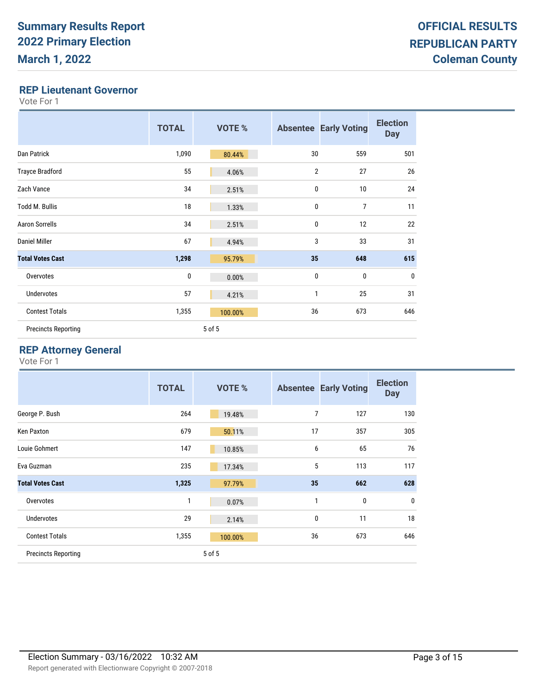#### **REP Lieutenant Governor**

Vote For 1

|                            | <b>TOTAL</b> | <b>VOTE %</b> |                | <b>Absentee Early Voting</b> | <b>Election</b><br><b>Day</b> |
|----------------------------|--------------|---------------|----------------|------------------------------|-------------------------------|
| Dan Patrick                | 1,090        | 80.44%        | 30             | 559                          | 501                           |
| <b>Trayce Bradford</b>     | 55           | 4.06%         | $\overline{2}$ | 27                           | 26                            |
| Zach Vance                 | 34           | 2.51%         | 0              | 10                           | 24                            |
| <b>Todd M. Bullis</b>      | 18           | 1.33%         | 0              | $\overline{7}$               | 11                            |
| <b>Aaron Sorrells</b>      | 34           | 2.51%         | 0              | 12                           | 22                            |
| Daniel Miller              | 67           | 4.94%         | 3              | 33                           | 31                            |
| <b>Total Votes Cast</b>    | 1,298        | 95.79%        | 35             | 648                          | 615                           |
| Overvotes                  | $\pmb{0}$    | 0.00%         | 0              | 0                            | $\bf{0}$                      |
| <b>Undervotes</b>          | 57           | 4.21%         | 1              | 25                           | 31                            |
| <b>Contest Totals</b>      | 1,355        | 100.00%       | 36             | 673                          | 646                           |
| <b>Precincts Reporting</b> |              | 5 of 5        |                |                              |                               |

### **REP Attorney General**

|                            | <b>TOTAL</b> | <b>VOTE %</b> |    | <b>Absentee Early Voting</b> | <b>Election</b><br><b>Day</b> |
|----------------------------|--------------|---------------|----|------------------------------|-------------------------------|
| George P. Bush             | 264          | 19.48%        | 7  | 127                          | 130                           |
| Ken Paxton                 | 679          | 50.11%        | 17 | 357                          | 305                           |
| Louie Gohmert              | 147          | 10.85%        | 6  | 65                           | 76                            |
| Eva Guzman                 | 235          | 17.34%        | 5  | 113                          | 117                           |
| <b>Total Votes Cast</b>    | 1,325        | 97.79%        | 35 | 662                          | 628                           |
| Overvotes                  | 1            | 0.07%         | 1  | $\bf{0}$                     | $\mathbf{0}$                  |
| Undervotes                 | 29           | 2.14%         | 0  | 11                           | 18                            |
| <b>Contest Totals</b>      | 1,355        | 100.00%       | 36 | 673                          | 646                           |
| <b>Precincts Reporting</b> |              | 5 of 5        |    |                              |                               |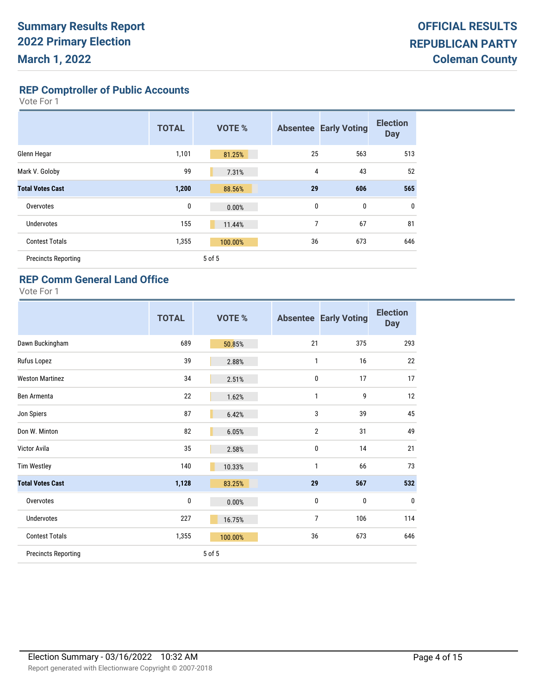**REP Comptroller of Public Accounts**

Vote For 1

|                            | <b>TOTAL</b> | <b>VOTE %</b> |    | <b>Absentee Early Voting</b> | <b>Election</b><br><b>Day</b> |
|----------------------------|--------------|---------------|----|------------------------------|-------------------------------|
| Glenn Hegar                | 1,101        | 81.25%        | 25 | 563                          | 513                           |
| Mark V. Goloby             | 99           | 7.31%         | 4  | 43                           | 52                            |
| <b>Total Votes Cast</b>    | 1,200        | 88.56%        | 29 | 606                          | 565                           |
| Overvotes                  | 0            | 0.00%         | 0  | $\mathbf 0$                  | 0                             |
| <b>Undervotes</b>          | 155          | 11.44%        | 7  | 67                           | 81                            |
| <b>Contest Totals</b>      | 1,355        | 100.00%       | 36 | 673                          | 646                           |
| <b>Precincts Reporting</b> |              | 5 of 5        |    |                              |                               |

#### **REP Comm General Land Office**

|                            | <b>TOTAL</b> | <b>VOTE %</b> |              | <b>Absentee Early Voting</b> | <b>Election</b><br><b>Day</b> |
|----------------------------|--------------|---------------|--------------|------------------------------|-------------------------------|
| Dawn Buckingham            | 689          | 50.85%        | 21           | 375                          | 293                           |
| Rufus Lopez                | 39           | 2.88%         | $\mathbf{1}$ | 16                           | 22                            |
| <b>Weston Martinez</b>     | 34           | 2.51%         | 0            | 17                           | 17                            |
| Ben Armenta                | 22           | 1.62%         | 1            | 9                            | 12                            |
| Jon Spiers                 | 87           | 6.42%         | 3            | 39                           | 45                            |
| Don W. Minton              | 82           | 6.05%         | 2            | 31                           | 49                            |
| Victor Avila               | 35           | 2.58%         | 0            | 14                           | 21                            |
| <b>Tim Westley</b>         | 140          | 10.33%        | 1            | 66                           | 73                            |
| <b>Total Votes Cast</b>    | 1,128        | 83.25%        | 29           | 567                          | 532                           |
| Overvotes                  | $\pmb{0}$    | 0.00%         | 0            | 0                            | $\bf{0}$                      |
| <b>Undervotes</b>          | 227          | 16.75%        | 7            | 106                          | 114                           |
| <b>Contest Totals</b>      | 1,355        | 100.00%       | 36           | 673                          | 646                           |
| <b>Precincts Reporting</b> |              | 5 of 5        |              |                              |                               |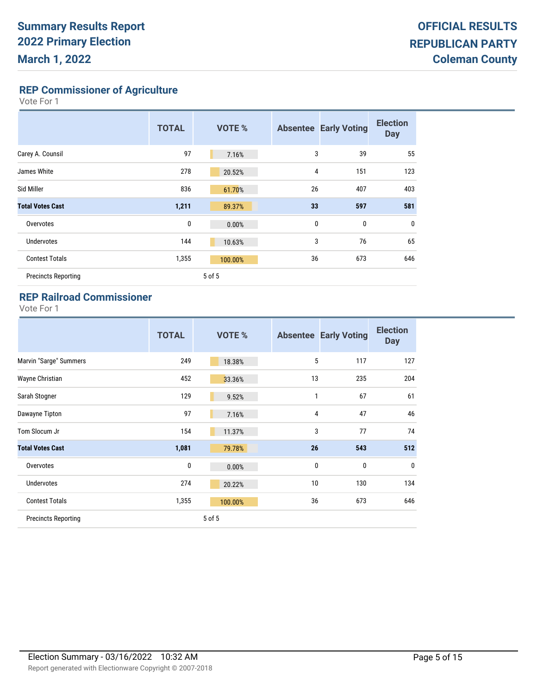**REP Commissioner of Agriculture**

Vote For 1

|                            | <b>TOTAL</b> | <b>VOTE %</b> |              | <b>Absentee Early Voting</b> | <b>Election</b><br><b>Day</b> |
|----------------------------|--------------|---------------|--------------|------------------------------|-------------------------------|
| Carey A. Counsil           | 97           | 7.16%         | 3            | 39                           | 55                            |
| James White                | 278          | 20.52%        | 4            | 151                          | 123                           |
| Sid Miller                 | 836          | 61.70%        | 26           | 407                          | 403                           |
| <b>Total Votes Cast</b>    | 1,211        | 89.37%        | 33           | 597                          | 581                           |
| Overvotes                  | 0            | 0.00%         | $\mathbf{0}$ | 0                            | $\mathbf{0}$                  |
| Undervotes                 | 144          | 10.63%        | 3            | 76                           | 65                            |
| <b>Contest Totals</b>      | 1,355        | 100.00%       | 36           | 673                          | 646                           |
| <b>Precincts Reporting</b> |              | 5 of 5        |              |                              |                               |

### **REP Railroad Commissioner**

|                            | <b>TOTAL</b> | VOTE %  |              | <b>Absentee Early Voting</b> | <b>Election</b><br><b>Day</b> |
|----------------------------|--------------|---------|--------------|------------------------------|-------------------------------|
| Marvin "Sarge" Summers     | 249          | 18.38%  | 5            | 117                          | 127                           |
| Wayne Christian            | 452          | 33.36%  | 13           | 235                          | 204                           |
| Sarah Stogner              | 129          | 9.52%   | 1            | 67                           | 61                            |
| Dawayne Tipton             | 97           | 7.16%   | 4            | 47                           | 46                            |
| Tom Slocum Jr              | 154          | 11.37%  | 3            | 77                           | 74                            |
| <b>Total Votes Cast</b>    | 1,081        | 79.78%  | 26           | 543                          | 512                           |
| Overvotes                  | 0            | 0.00%   | $\mathbf{0}$ | $\mathbf 0$                  | $\mathbf 0$                   |
| <b>Undervotes</b>          | 274          | 20.22%  | 10           | 130                          | 134                           |
| <b>Contest Totals</b>      | 1,355        | 100.00% | 36           | 673                          | 646                           |
| <b>Precincts Reporting</b> |              | 5 of 5  |              |                              |                               |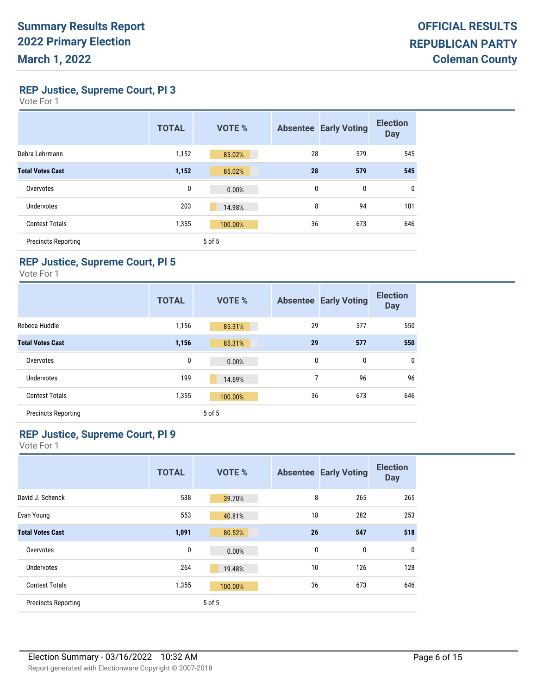**REP Justice, Supreme Court, Pl 3**

| Vote For |  |  |
|----------|--|--|
|----------|--|--|

|                            | <b>TOTAL</b> | <b>VOTE %</b> |    | <b>Absentee Early Voting</b> | <b>Election</b><br><b>Day</b> |
|----------------------------|--------------|---------------|----|------------------------------|-------------------------------|
| Debra Lehrmann             | 1,152        | 85.02%        | 28 | 579                          | 545                           |
| <b>Total Votes Cast</b>    | 1,152        | 85.02%        | 28 | 579                          | 545                           |
| Overvotes                  | 0            | 0.00%         | 0  | 0                            | 0                             |
| <b>Undervotes</b>          | 203          | 14.98%        | 8  | 94                           | 101                           |
| <b>Contest Totals</b>      | 1,355        | 100.00%       | 36 | 673                          | 646                           |
| <b>Precincts Reporting</b> |              | 5 of 5        |    |                              |                               |

## **REP Justice, Supreme Court, Pl 5**

Vote For 1

|                            | <b>TOTAL</b> | <b>VOTE %</b> |    | <b>Absentee Early Voting</b> | <b>Election</b><br><b>Day</b> |
|----------------------------|--------------|---------------|----|------------------------------|-------------------------------|
| Rebeca Huddle              | 1,156        | 85.31%        | 29 | 577                          | 550                           |
| <b>Total Votes Cast</b>    | 1,156        | 85.31%        | 29 | 577                          | 550                           |
| Overvotes                  | 0            | 0.00%         | 0  | 0                            | $\mathbf 0$                   |
| Undervotes                 | 199          | 14.69%        | 7  | 96                           | 96                            |
| <b>Contest Totals</b>      | 1,355        | 100.00%       | 36 | 673                          | 646                           |
| <b>Precincts Reporting</b> |              | 5 of 5        |    |                              |                               |

## **REP Justice, Supreme Court, Pl 9**

|                            | <b>TOTAL</b> | <b>VOTE %</b> |             | <b>Absentee Early Voting</b> | <b>Election</b><br><b>Day</b> |
|----------------------------|--------------|---------------|-------------|------------------------------|-------------------------------|
| David J. Schenck           | 538          | 39.70%        | 8           | 265                          | 265                           |
| Evan Young                 | 553          | 40.81%        | 18          | 282                          | 253                           |
| <b>Total Votes Cast</b>    | 1,091        | 80.52%        | 26          | 547                          | 518                           |
| Overvotes                  | 0            | 0.00%         | $\mathbf 0$ | $\mathbf 0$                  | 0                             |
| <b>Undervotes</b>          | 264          | 19.48%        | 10          | 126                          | 128                           |
| <b>Contest Totals</b>      | 1,355        | 100.00%       | 36          | 673                          | 646                           |
| <b>Precincts Reporting</b> |              | 5 of 5        |             |                              |                               |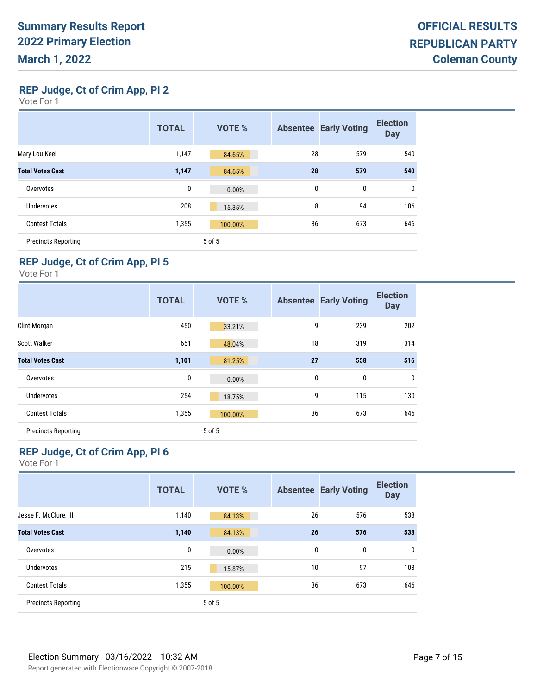**REP Judge, Ct of Crim App, Pl 2**

| ∕ote ⊦or |  |  |
|----------|--|--|
|----------|--|--|

|                            | <b>TOTAL</b> | <b>VOTE %</b> |    | <b>Absentee Early Voting</b> | <b>Election</b><br><b>Day</b> |
|----------------------------|--------------|---------------|----|------------------------------|-------------------------------|
| Mary Lou Keel              | 1,147        | 84.65%        | 28 | 579                          | 540                           |
| <b>Total Votes Cast</b>    | 1,147        | 84.65%        | 28 | 579                          | 540                           |
| Overvotes                  | 0            | 0.00%         | 0  | 0                            | $\mathbf 0$                   |
| Undervotes                 | 208          | 15.35%        | 8  | 94                           | 106                           |
| <b>Contest Totals</b>      | 1,355        | 100.00%       | 36 | 673                          | 646                           |
| <b>Precincts Reporting</b> |              | 5 of 5        |    |                              |                               |

## **REP Judge, Ct of Crim App, Pl 5**

Vote For 1

|                            | <b>TOTAL</b> | <b>VOTE %</b> | <b>Absentee</b> | <b>Early Voting</b> | <b>Election</b><br><b>Day</b> |
|----------------------------|--------------|---------------|-----------------|---------------------|-------------------------------|
| Clint Morgan               | 450          | 33.21%        | 9               | 239                 | 202                           |
| <b>Scott Walker</b>        | 651          | 48.04%        | 18              | 319                 | 314                           |
| <b>Total Votes Cast</b>    | 1,101        | 81.25%        | 27              | 558                 | 516                           |
| Overvotes                  | 0            | 0.00%         | 0               | 0                   | $\mathbf 0$                   |
| <b>Undervotes</b>          | 254          | 18.75%        | 9               | 115                 | 130                           |
| <b>Contest Totals</b>      | 1,355        | 100.00%       | 36              | 673                 | 646                           |
| <b>Precincts Reporting</b> |              | 5 of 5        |                 |                     |                               |

## **REP Judge, Ct of Crim App, Pl 6**

|                            | <b>TOTAL</b> | <b>VOTE %</b> | <b>Absentee</b> | <b>Early Voting</b> | <b>Election</b><br><b>Day</b> |
|----------------------------|--------------|---------------|-----------------|---------------------|-------------------------------|
| Jesse F. McClure, III      | 1,140        | 84.13%        | 26              | 576                 | 538                           |
| <b>Total Votes Cast</b>    | 1,140        | 84.13%        | 26              | 576                 | 538                           |
| Overvotes                  | 0            | 0.00%         | 0               | 0                   | $\mathbf 0$                   |
| <b>Undervotes</b>          | 215          | 15.87%        | 10              | 97                  | 108                           |
| <b>Contest Totals</b>      | 1,355        | 100.00%       | 36              | 673                 | 646                           |
| <b>Precincts Reporting</b> |              | 5 of 5        |                 |                     |                               |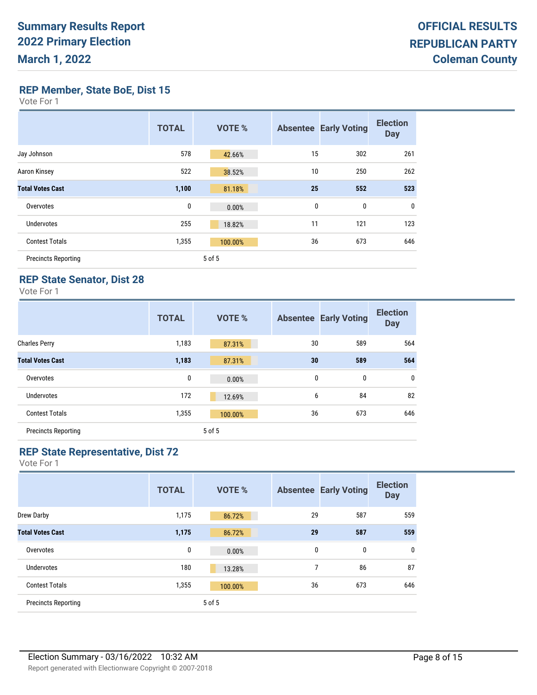**REP Member, State BoE, Dist 15**

| Vote For |  |  |
|----------|--|--|
|----------|--|--|

|                            | <b>TOTAL</b> | <b>VOTE %</b> | <b>Absentee</b> | <b>Early Voting</b> | <b>Election</b><br><b>Day</b> |
|----------------------------|--------------|---------------|-----------------|---------------------|-------------------------------|
| Jay Johnson                | 578          | 42.66%        | 15              | 302                 | 261                           |
| Aaron Kinsey               | 522          | 38.52%        | 10              | 250                 | 262                           |
| <b>Total Votes Cast</b>    | 1,100        | 81.18%        | 25              | 552                 | 523                           |
| Overvotes                  | 0            | 0.00%         | 0               | 0                   | $\mathbf 0$                   |
| Undervotes                 | 255          | 18.82%        | 11              | 121                 | 123                           |
| <b>Contest Totals</b>      | 1,355        | 100.00%       | 36              | 673                 | 646                           |
| <b>Precincts Reporting</b> |              | 5 of 5        |                 |                     |                               |

#### **REP State Senator, Dist 28**

Vote For 1

|                            | <b>TOTAL</b> | <b>VOTE %</b> |    | <b>Absentee Early Voting</b> | <b>Election</b><br><b>Day</b> |
|----------------------------|--------------|---------------|----|------------------------------|-------------------------------|
| <b>Charles Perry</b>       | 1,183        | 87.31%        | 30 | 589                          | 564                           |
| <b>Total Votes Cast</b>    | 1,183        | 87.31%        | 30 | 589                          | 564                           |
| Overvotes                  | 0            | 0.00%         | 0  | 0                            | $\mathbf 0$                   |
| <b>Undervotes</b>          | 172          | 12.69%        | 6  | 84                           | 82                            |
| <b>Contest Totals</b>      | 1,355        | 100.00%       | 36 | 673                          | 646                           |
| <b>Precincts Reporting</b> |              | 5 of 5        |    |                              |                               |

## **REP State Representative, Dist 72**

|                            | <b>TOTAL</b> | <b>VOTE %</b> |    | <b>Absentee Early Voting</b> | <b>Election</b><br><b>Day</b> |
|----------------------------|--------------|---------------|----|------------------------------|-------------------------------|
| Drew Darby                 | 1,175        | 86.72%        | 29 | 587                          | 559                           |
| <b>Total Votes Cast</b>    | 1,175        | 86.72%        | 29 | 587                          | 559                           |
| Overvotes                  | 0            | 0.00%         | 0  | 0                            | $\mathbf 0$                   |
| <b>Undervotes</b>          | 180          | 13.28%        | 7  | 86                           | 87                            |
| <b>Contest Totals</b>      | 1,355        | 100.00%       | 36 | 673                          | 646                           |
| <b>Precincts Reporting</b> |              | 5 of 5        |    |                              |                               |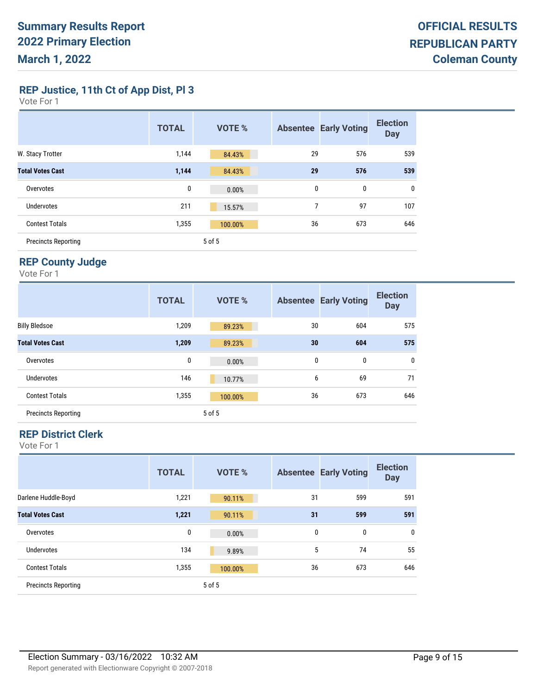**REP Justice, 11th Ct of App Dist, Pl 3**

| Vote For |  |  |
|----------|--|--|
|----------|--|--|

|                            | <b>TOTAL</b> | <b>VOTE %</b> |    | <b>Absentee Early Voting</b> | <b>Election</b><br><b>Day</b> |
|----------------------------|--------------|---------------|----|------------------------------|-------------------------------|
| W. Stacy Trotter           | 1,144        | 84.43%        | 29 | 576                          | 539                           |
| <b>Total Votes Cast</b>    | 1,144        | 84.43%        | 29 | 576                          | 539                           |
| Overvotes                  | 0            | 0.00%         | 0  | $\mathbf{0}$                 | $\mathbf 0$                   |
| <b>Undervotes</b>          | 211          | 15.57%        | 7  | 97                           | 107                           |
| <b>Contest Totals</b>      | 1,355        | 100.00%       | 36 | 673                          | 646                           |
| <b>Precincts Reporting</b> |              | 5 of 5        |    |                              |                               |

## **REP County Judge**

Vote For 1

|                            | <b>TOTAL</b> | <b>VOTE %</b> |              | <b>Absentee Early Voting</b> | <b>Election</b><br><b>Day</b> |
|----------------------------|--------------|---------------|--------------|------------------------------|-------------------------------|
| <b>Billy Bledsoe</b>       | 1,209        | 89.23%        | 30           | 604                          | 575                           |
| <b>Total Votes Cast</b>    | 1,209        | 89.23%        | 30           | 604                          | 575                           |
| Overvotes                  | 0            | 0.00%         | $\mathbf{0}$ | 0                            | $\mathbf 0$                   |
| Undervotes                 | 146          | 10.77%        | 6            | 69                           | 71                            |
| <b>Contest Totals</b>      | 1,355        | 100.00%       | 36           | 673                          | 646                           |
| <b>Precincts Reporting</b> |              | 5 of 5        |              |                              |                               |

#### **REP District Clerk**

|                            | <b>TOTAL</b> | <b>VOTE %</b> |    | <b>Absentee Early Voting</b> | <b>Election</b><br><b>Day</b> |
|----------------------------|--------------|---------------|----|------------------------------|-------------------------------|
| Darlene Huddle-Boyd        | 1,221        | 90.11%        | 31 | 599                          | 591                           |
| <b>Total Votes Cast</b>    | 1,221        | 90.11%        | 31 | 599                          | 591                           |
| Overvotes                  | 0            | 0.00%         | 0  | 0                            | $\mathbf 0$                   |
| Undervotes                 | 134          | 9.89%         | 5  | 74                           | 55                            |
| <b>Contest Totals</b>      | 1,355        | 100.00%       | 36 | 673                          | 646                           |
| <b>Precincts Reporting</b> |              | 5 of 5        |    |                              |                               |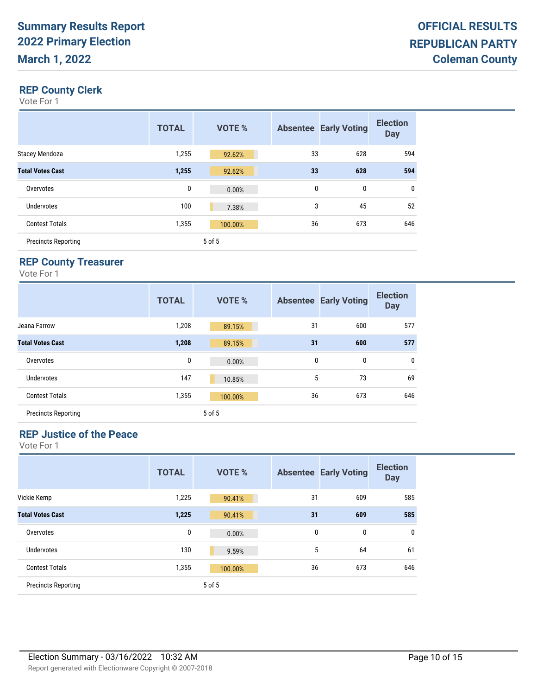## **REP County Clerk**

Vote For 1

|                            | <b>TOTAL</b> | <b>VOTE %</b> |    | <b>Absentee Early Voting</b> | <b>Election</b><br><b>Day</b> |
|----------------------------|--------------|---------------|----|------------------------------|-------------------------------|
| Stacey Mendoza             | 1,255        | 92.62%        | 33 | 628                          | 594                           |
| <b>Total Votes Cast</b>    | 1,255        | 92.62%        | 33 | 628                          | 594                           |
| Overvotes                  | 0            | 0.00%         | 0  | 0                            | $\mathbf 0$                   |
| <b>Undervotes</b>          | 100          | 7.38%         | 3  | 45                           | 52                            |
| <b>Contest Totals</b>      | 1,355        | 100.00%       | 36 | 673                          | 646                           |
| <b>Precincts Reporting</b> |              | 5 of 5        |    |                              |                               |

### **REP County Treasurer**

Vote For 1

|                            | <b>TOTAL</b> | <b>VOTE %</b> |    | <b>Absentee Early Voting</b> | <b>Election</b><br><b>Day</b> |
|----------------------------|--------------|---------------|----|------------------------------|-------------------------------|
| Jeana Farrow               | 1,208        | 89.15%        | 31 | 600                          | 577                           |
| <b>Total Votes Cast</b>    | 1,208        | 89.15%        | 31 | 600                          | 577                           |
| Overvotes                  | $\bf{0}$     | 0.00%         | 0  | 0                            | $\mathbf 0$                   |
| Undervotes                 | 147          | 10.85%        | 5  | 73                           | 69                            |
| <b>Contest Totals</b>      | 1,355        | 100.00%       | 36 | 673                          | 646                           |
| <b>Precincts Reporting</b> |              | 5 of 5        |    |                              |                               |

### **REP Justice of the Peace**

|                            | <b>TOTAL</b> | <b>VOTE %</b> |    | <b>Absentee Early Voting</b> | <b>Election</b><br><b>Day</b> |
|----------------------------|--------------|---------------|----|------------------------------|-------------------------------|
| Vickie Kemp                | 1,225        | 90.41%        | 31 | 609                          | 585                           |
| <b>Total Votes Cast</b>    | 1,225        | 90.41%        | 31 | 609                          | 585                           |
| Overvotes                  | 0            | 0.00%         | 0  | 0                            | $\mathbf 0$                   |
| <b>Undervotes</b>          | 130          | 9.59%         | 5  | 64                           | 61                            |
| <b>Contest Totals</b>      | 1,355        | 100.00%       | 36 | 673                          | 646                           |
| <b>Precincts Reporting</b> |              | 5 of 5        |    |                              |                               |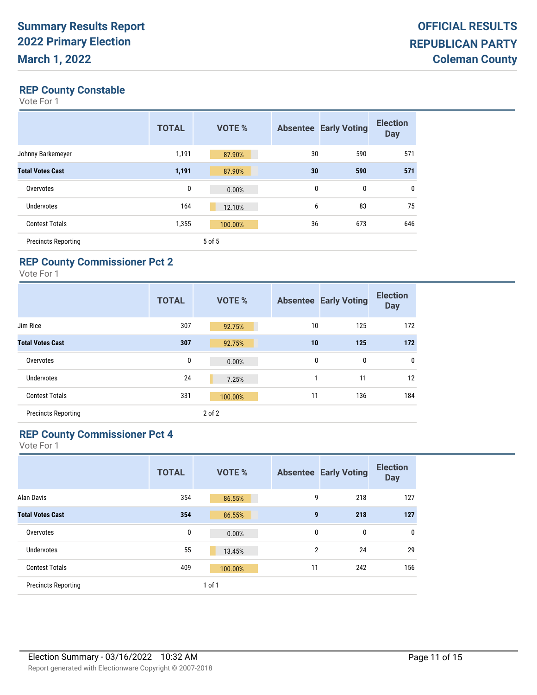#### **REP County Constable**

Vote For 1

|                            | <b>TOTAL</b> | <b>VOTE %</b> |    | <b>Absentee Early Voting</b> | <b>Election</b><br><b>Day</b> |
|----------------------------|--------------|---------------|----|------------------------------|-------------------------------|
| Johnny Barkemeyer          | 1,191        | 87.90%        | 30 | 590                          | 571                           |
| <b>Total Votes Cast</b>    | 1,191        | 87.90%        | 30 | 590                          | 571                           |
| Overvotes                  | 0            | 0.00%         | 0  | 0                            | 0                             |
| <b>Undervotes</b>          | 164          | 12.10%        | 6  | 83                           | 75                            |
| <b>Contest Totals</b>      | 1,355        | 100.00%       | 36 | 673                          | 646                           |
| <b>Precincts Reporting</b> |              | 5 of 5        |    |                              |                               |

## **REP County Commissioner Pct 2**

Vote For 1

|                            | <b>TOTAL</b> | <b>VOTE %</b> |    | <b>Absentee Early Voting</b> | <b>Election</b><br><b>Day</b> |
|----------------------------|--------------|---------------|----|------------------------------|-------------------------------|
| Jim Rice                   | 307          | 92.75%        | 10 | 125                          | 172                           |
| <b>Total Votes Cast</b>    | 307          | 92.75%        | 10 | 125                          | 172                           |
| Overvotes                  | 0            | 0.00%         | 0  | 0                            | $\mathbf 0$                   |
| <b>Undervotes</b>          | 24           | 7.25%         | 1  | 11                           | 12                            |
| <b>Contest Totals</b>      | 331          | 100.00%       | 11 | 136                          | 184                           |
| <b>Precincts Reporting</b> |              | $2$ of $2$    |    |                              |                               |

### **REP County Commissioner Pct 4**

|                            | <b>TOTAL</b> | <b>VOTE %</b> |                | <b>Absentee Early Voting</b> | <b>Election</b><br><b>Day</b> |
|----------------------------|--------------|---------------|----------------|------------------------------|-------------------------------|
| Alan Davis                 | 354          | 86.55%        | 9              | 218                          | 127                           |
| <b>Total Votes Cast</b>    | 354          | 86.55%        | $\mathbf{9}$   | 218                          | 127                           |
| Overvotes                  | 0            | 0.00%         | 0              | $\mathbf 0$                  | $\mathbf 0$                   |
| Undervotes                 | 55           | 13.45%        | $\overline{2}$ | 24                           | 29                            |
| <b>Contest Totals</b>      | 409          | 100.00%       | 11             | 242                          | 156                           |
| <b>Precincts Reporting</b> |              | $1$ of $1$    |                |                              |                               |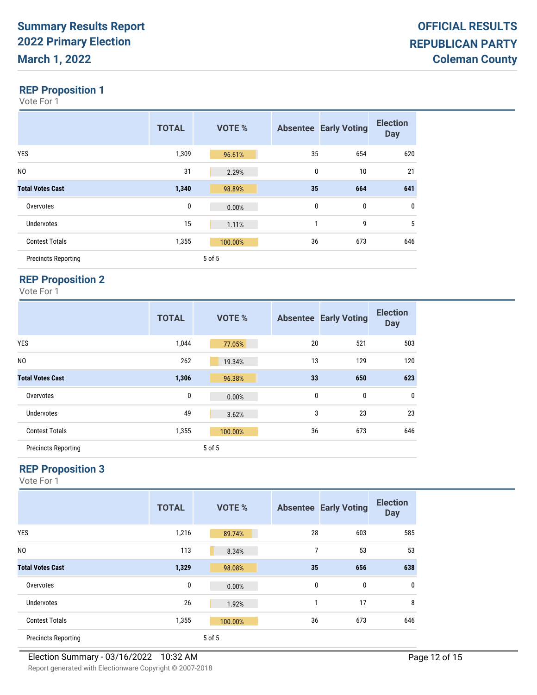Vote For 1

|                            | <b>TOTAL</b> | <b>VOTE %</b> |          | <b>Absentee Early Voting</b> | <b>Election</b><br><b>Day</b> |
|----------------------------|--------------|---------------|----------|------------------------------|-------------------------------|
| <b>YES</b>                 | 1,309        | 96.61%        | 35       | 654                          | 620                           |
| NO.                        | 31           | 2.29%         | $\bf{0}$ | 10                           | 21                            |
| <b>Total Votes Cast</b>    | 1,340        | 98.89%        | 35       | 664                          | 641                           |
| Overvotes                  | $\pmb{0}$    | 0.00%         | $\bf{0}$ | 0                            | 0                             |
| <b>Undervotes</b>          | 15           | 1.11%         | 1        | 9                            | 5                             |
| <b>Contest Totals</b>      | 1,355        | 100.00%       | 36       | 673                          | 646                           |
| <b>Precincts Reporting</b> |              | 5 of 5        |          |                              |                               |

## **REP Proposition 2**

Vote For 1

|                            | <b>TOTAL</b> | <b>VOTE %</b> |    | <b>Absentee Early Voting</b> | <b>Election</b><br><b>Day</b> |
|----------------------------|--------------|---------------|----|------------------------------|-------------------------------|
| <b>YES</b>                 | 1,044        | 77.05%        | 20 | 521                          | 503                           |
| N <sub>0</sub>             | 262          | 19.34%        | 13 | 129                          | 120                           |
| <b>Total Votes Cast</b>    | 1,306        | 96.38%        | 33 | 650                          | 623                           |
| Overvotes                  | 0            | 0.00%         | 0  | 0                            | $\mathbf 0$                   |
| Undervotes                 | 49           | 3.62%         | 3  | 23                           | 23                            |
| <b>Contest Totals</b>      | 1,355        | 100.00%       | 36 | 673                          | 646                           |
| <b>Precincts Reporting</b> |              | 5 of 5        |    |                              |                               |

## **REP Proposition 3**

|                            | <b>TOTAL</b> | <b>VOTE %</b> |    | <b>Absentee Early Voting</b> | <b>Election</b><br><b>Day</b> |
|----------------------------|--------------|---------------|----|------------------------------|-------------------------------|
| <b>YES</b>                 | 1,216        | 89.74%        | 28 | 603                          | 585                           |
| N <sub>0</sub>             | 113          | 8.34%         | 7  | 53                           | 53                            |
| <b>Total Votes Cast</b>    | 1,329        | 98.08%        | 35 | 656                          | 638                           |
| Overvotes                  | 0            | 0.00%         | 0  | 0                            | $\mathbf 0$                   |
| <b>Undervotes</b>          | 26           | 1.92%         | 1  | 17                           | 8                             |
| <b>Contest Totals</b>      | 1,355        | 100.00%       | 36 | 673                          | 646                           |
| <b>Precincts Reporting</b> |              | 5 of 5        |    |                              |                               |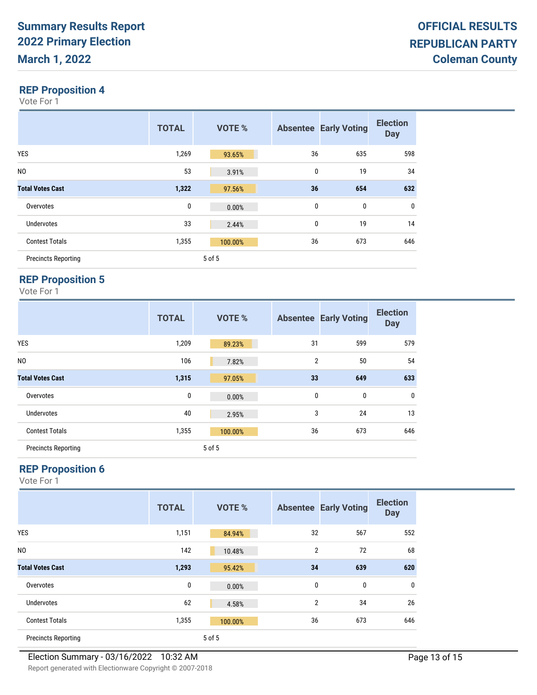Vote For 1

|                            | <b>TOTAL</b> | <b>VOTE %</b> |          | <b>Absentee Early Voting</b> | <b>Election</b><br><b>Day</b> |
|----------------------------|--------------|---------------|----------|------------------------------|-------------------------------|
| <b>YES</b>                 | 1,269        | 93.65%        | 36       | 635                          | 598                           |
| N <sub>0</sub>             | 53           | 3.91%         | $\bf{0}$ | 19                           | 34                            |
| <b>Total Votes Cast</b>    | 1,322        | 97.56%        | 36       | 654                          | 632                           |
| Overvotes                  | $\bf{0}$     | 0.00%         | $\bf{0}$ | 0                            | 0                             |
| <b>Undervotes</b>          | 33           | 2.44%         | $\bf{0}$ | 19                           | 14                            |
| <b>Contest Totals</b>      | 1,355        | 100.00%       | 36       | 673                          | 646                           |
| <b>Precincts Reporting</b> |              | 5 of 5        |          |                              |                               |

## **REP Proposition 5**

Vote For 1

|                            | <b>TOTAL</b> | <b>VOTE %</b> |                | <b>Absentee Early Voting</b> | <b>Election</b><br><b>Day</b> |
|----------------------------|--------------|---------------|----------------|------------------------------|-------------------------------|
| <b>YES</b>                 | 1,209        | 89.23%        | 31             | 599                          | 579                           |
| N <sub>0</sub>             | 106          | 7.82%         | $\overline{2}$ | 50                           | 54                            |
| <b>Total Votes Cast</b>    | 1,315        | 97.05%        | 33             | 649                          | 633                           |
| Overvotes                  | $\pmb{0}$    | 0.00%         | 0              | 0                            | $\pmb{0}$                     |
| Undervotes                 | 40           | 2.95%         | 3              | 24                           | 13                            |
| <b>Contest Totals</b>      | 1,355        | 100.00%       | 36             | 673                          | 646                           |
| <b>Precincts Reporting</b> |              | 5 of 5        |                |                              |                               |

## **REP Proposition 6**

|                            | <b>TOTAL</b> | <b>VOTE %</b> |                | <b>Absentee Early Voting</b> | <b>Election</b><br><b>Day</b> |
|----------------------------|--------------|---------------|----------------|------------------------------|-------------------------------|
| <b>YES</b>                 | 1,151        | 84.94%        | 32             | 567                          | 552                           |
| N <sub>0</sub>             | 142          | 10.48%        | $\overline{2}$ | 72                           | 68                            |
| <b>Total Votes Cast</b>    | 1,293        | 95.42%        | 34             | 639                          | 620                           |
| Overvotes                  | 0            | 0.00%         | $\mathbf{0}$   | 0                            | 0                             |
| Undervotes                 | 62           | 4.58%         | $\overline{2}$ | 34                           | 26                            |
| <b>Contest Totals</b>      | 1,355        | 100.00%       | 36             | 673                          | 646                           |
| <b>Precincts Reporting</b> |              | 5 of 5        |                |                              |                               |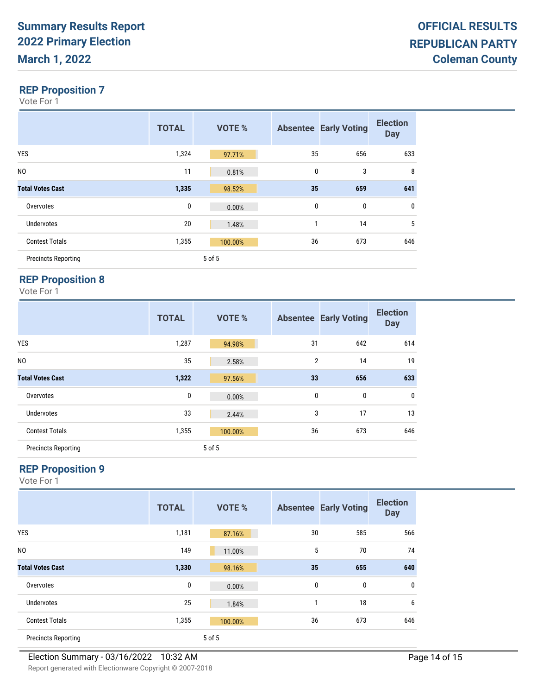Vote For 1

|                            | <b>TOTAL</b> | <b>VOTE %</b> |          | <b>Absentee Early Voting</b> | <b>Election</b><br><b>Day</b> |
|----------------------------|--------------|---------------|----------|------------------------------|-------------------------------|
| <b>YES</b>                 | 1,324        | 97.71%        | 35       | 656                          | 633                           |
| N <sub>0</sub>             | 11           | 0.81%         | $\bf{0}$ | 3                            | 8                             |
| <b>Total Votes Cast</b>    | 1,335        | 98.52%        | 35       | 659                          | 641                           |
| Overvotes                  | $\bf{0}$     | 0.00%         | $\bf{0}$ | 0                            | 0                             |
| <b>Undervotes</b>          | 20           | 1.48%         | 1        | 14                           | 5                             |
| <b>Contest Totals</b>      | 1,355        | 100.00%       | 36       | 673                          | 646                           |
| <b>Precincts Reporting</b> |              | 5 of 5        |          |                              |                               |

## **REP Proposition 8**

Vote For 1

|                            | <b>TOTAL</b> | <b>VOTE %</b> |                | <b>Absentee Early Voting</b> | <b>Election</b><br><b>Day</b> |
|----------------------------|--------------|---------------|----------------|------------------------------|-------------------------------|
| <b>YES</b>                 | 1,287        | 94.98%        | 31             | 642                          | 614                           |
| N <sub>O</sub>             | 35           | 2.58%         | $\overline{2}$ | 14                           | 19                            |
| <b>Total Votes Cast</b>    | 1,322        | 97.56%        | 33             | 656                          | 633                           |
| Overvotes                  | 0            | 0.00%         | 0              | 0                            | $\pmb{0}$                     |
| Undervotes                 | 33           | 2.44%         | 3              | 17                           | 13                            |
| <b>Contest Totals</b>      | 1,355        | 100.00%       | 36             | 673                          | 646                           |
| <b>Precincts Reporting</b> |              | 5 of 5        |                |                              |                               |

## **REP Proposition 9**

|                            | <b>TOTAL</b> | <b>VOTE %</b> |    | <b>Absentee Early Voting</b> | <b>Election</b><br><b>Day</b> |
|----------------------------|--------------|---------------|----|------------------------------|-------------------------------|
| <b>YES</b>                 | 1,181        | 87.16%        | 30 | 585                          | 566                           |
| N <sub>0</sub>             | 149          | 11.00%        | 5  | 70                           | 74                            |
| <b>Total Votes Cast</b>    | 1,330        | 98.16%        | 35 | 655                          | 640                           |
| Overvotes                  | 0            | 0.00%         | 0  | 0                            | $\mathbf{0}$                  |
| Undervotes                 | 25           | 1.84%         | 1  | 18                           | 6                             |
| <b>Contest Totals</b>      | 1,355        | 100.00%       | 36 | 673                          | 646                           |
| <b>Precincts Reporting</b> |              | 5 of 5        |    |                              |                               |